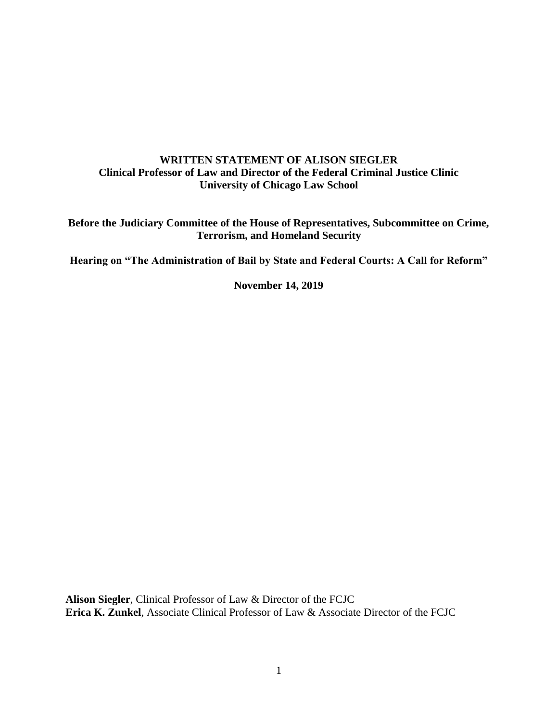# **WRITTEN STATEMENT OF ALISON SIEGLER Clinical Professor of Law and Director of the Federal Criminal Justice Clinic University of Chicago Law School**

**Before the Judiciary Committee of the House of Representatives, Subcommittee on Crime, Terrorism, and Homeland Security**

**Hearing on "The Administration of Bail by State and Federal Courts: A Call for Reform"**

**November 14, 2019**

**Alison Siegler**, Clinical Professor of Law & Director of the FCJC **Erica K. Zunkel**, Associate Clinical Professor of Law & Associate Director of the FCJC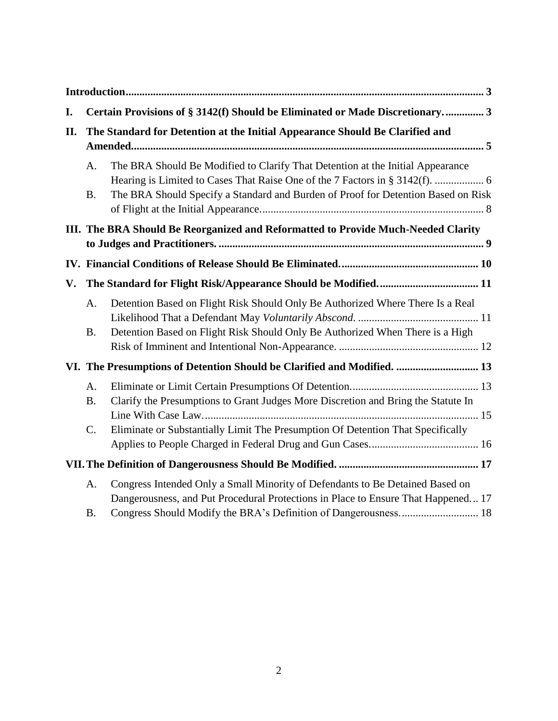| I. | Certain Provisions of § 3142(f) Should be Eliminated or Made Discretionary 3      |                                                                                                                                                                      |  |
|----|-----------------------------------------------------------------------------------|----------------------------------------------------------------------------------------------------------------------------------------------------------------------|--|
| П. |                                                                                   | The Standard for Detention at the Initial Appearance Should Be Clarified and                                                                                         |  |
|    | A.<br><b>B.</b>                                                                   | The BRA Should Be Modified to Clarify That Detention at the Initial Appearance<br>The BRA Should Specify a Standard and Burden of Proof for Detention Based on Risk  |  |
|    | III. The BRA Should Be Reorganized and Reformatted to Provide Much-Needed Clarity |                                                                                                                                                                      |  |
|    |                                                                                   |                                                                                                                                                                      |  |
| V. |                                                                                   |                                                                                                                                                                      |  |
|    | A.<br><b>B.</b>                                                                   | Detention Based on Flight Risk Should Only Be Authorized Where There Is a Real<br>Detention Based on Flight Risk Should Only Be Authorized When There is a High      |  |
|    |                                                                                   | VI. The Presumptions of Detention Should be Clarified and Modified.  13                                                                                              |  |
|    | A.<br><b>B.</b><br>C.                                                             | Clarify the Presumptions to Grant Judges More Discretion and Bring the Statute In<br>Eliminate or Substantially Limit The Presumption Of Detention That Specifically |  |
|    |                                                                                   |                                                                                                                                                                      |  |
|    | A.                                                                                | Congress Intended Only a Small Minority of Defendants to Be Detained Based on<br>Dangerousness, and Put Procedural Protections in Place to Ensure That Happened 17   |  |
|    | <b>B.</b>                                                                         | Congress Should Modify the BRA's Definition of Dangerousness 18                                                                                                      |  |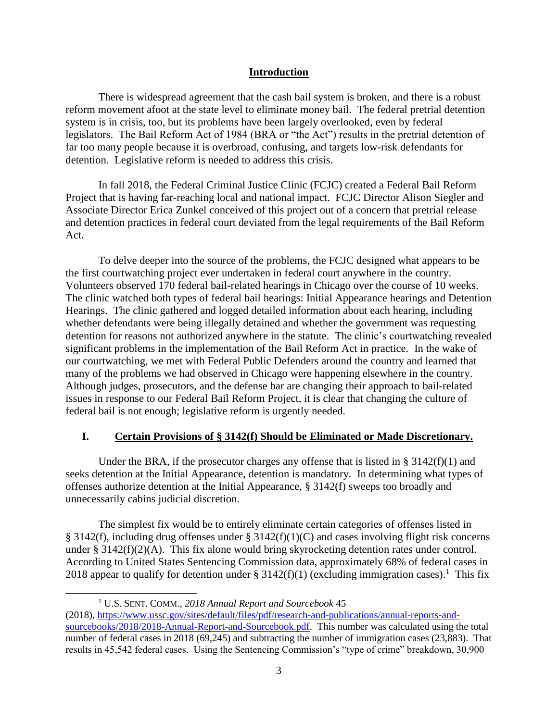## **Introduction**

<span id="page-2-0"></span>There is widespread agreement that the cash bail system is broken, and there is a robust reform movement afoot at the state level to eliminate money bail. The federal pretrial detention system is in crisis, too, but its problems have been largely overlooked, even by federal legislators. The Bail Reform Act of 1984 (BRA or "the Act") results in the pretrial detention of far too many people because it is overbroad, confusing, and targets low-risk defendants for detention. Legislative reform is needed to address this crisis.

In fall 2018, the Federal Criminal Justice Clinic (FCJC) created a Federal Bail Reform Project that is having far-reaching local and national impact. FCJC Director Alison Siegler and Associate Director Erica Zunkel conceived of this project out of a concern that pretrial release and detention practices in federal court deviated from the legal requirements of the Bail Reform Act.

To delve deeper into the source of the problems, the FCJC designed what appears to be the first courtwatching project ever undertaken in federal court anywhere in the country. Volunteers observed 170 federal bail-related hearings in Chicago over the course of 10 weeks. The clinic watched both types of federal bail hearings: Initial Appearance hearings and Detention Hearings. The clinic gathered and logged detailed information about each hearing, including whether defendants were being illegally detained and whether the government was requesting detention for reasons not authorized anywhere in the statute. The clinic's courtwatching revealed significant problems in the implementation of the Bail Reform Act in practice. In the wake of our courtwatching, we met with Federal Public Defenders around the country and learned that many of the problems we had observed in Chicago were happening elsewhere in the country. Although judges, prosecutors, and the defense bar are changing their approach to bail-related issues in response to our Federal Bail Reform Project, it is clear that changing the culture of federal bail is not enough; legislative reform is urgently needed.

#### <span id="page-2-1"></span>**I. Certain Provisions of § 3142(f) Should be Eliminated or Made Discretionary.**

Under the BRA, if the prosecutor charges any offense that is listed in §  $3142(f)(1)$  and seeks detention at the Initial Appearance, detention is mandatory. In determining what types of offenses authorize detention at the Initial Appearance, § 3142(f) sweeps too broadly and unnecessarily cabins judicial discretion.

The simplest fix would be to entirely eliminate certain categories of offenses listed in § 3142(f), including drug offenses under § 3142(f)(1)(C) and cases involving flight risk concerns under § 3142(f)(2)(A). This fix alone would bring skyrocketing detention rates under control. According to United States Sentencing Commission data, approximately 68% of federal cases in 2018 appear to qualify for detention under § 3142(f)(1) (excluding immigration cases).<sup>1</sup> This fix

<sup>1</sup> U.S. SENT. COMM., *2018 Annual Report and Sourcebook* 45

<sup>(2018),</sup> [https://www.ussc.gov/sites/default/files/pdf/research-and-publications/annual-reports-and](https://www.ussc.gov/sites/default/files/pdf/research-and-publications/annual-reports-and-sourcebooks/2018/2018-Annual-Report-and-Sourcebook.pdf)[sourcebooks/2018/2018-Annual-Report-and-Sourcebook.pdf.](https://www.ussc.gov/sites/default/files/pdf/research-and-publications/annual-reports-and-sourcebooks/2018/2018-Annual-Report-and-Sourcebook.pdf) This number was calculated using the total number of federal cases in 2018 (69,245) and subtracting the number of immigration cases (23,883). That results in 45,542 federal cases. Using the Sentencing Commission's "type of crime" breakdown, 30,900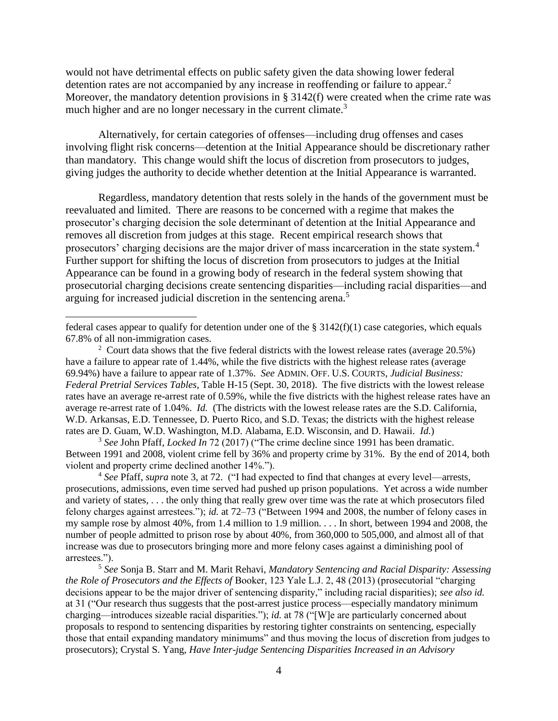would not have detrimental effects on public safety given the data showing lower federal detention rates are not accompanied by any increase in reoffending or failure to appear.<sup>2</sup> Moreover, the mandatory detention provisions in § 3142(f) were created when the crime rate was much higher and are no longer necessary in the current climate.<sup>3</sup>

Alternatively, for certain categories of offenses—including drug offenses and cases involving flight risk concerns—detention at the Initial Appearance should be discretionary rather than mandatory. This change would shift the locus of discretion from prosecutors to judges, giving judges the authority to decide whether detention at the Initial Appearance is warranted.

Regardless, mandatory detention that rests solely in the hands of the government must be reevaluated and limited. There are reasons to be concerned with a regime that makes the prosecutor's charging decision the sole determinant of detention at the Initial Appearance and removes all discretion from judges at this stage. Recent empirical research shows that prosecutors' charging decisions are the major driver of mass incarceration in the state system.<sup>4</sup> Further support for shifting the locus of discretion from prosecutors to judges at the Initial Appearance can be found in a growing body of research in the federal system showing that prosecutorial charging decisions create sentencing disparities—including racial disparities—and arguing for increased judicial discretion in the sentencing arena.<sup>5</sup>

 $\overline{a}$ 

<sup>3</sup> *See* John Pfaff, *Locked In* 72 (2017) ("The crime decline since 1991 has been dramatic. Between 1991 and 2008, violent crime fell by 36% and property crime by 31%. By the end of 2014, both violent and property crime declined another 14%.").

<sup>4</sup> *See* Pfaff, *supra* note 3, at 72. ("I had expected to find that changes at every level—arrests, prosecutions, admissions, even time served had pushed up prison populations. Yet across a wide number and variety of states, . . . the only thing that really grew over time was the rate at which prosecutors filed felony charges against arrestees."); *id.* at 72–73 ("Between 1994 and 2008, the number of felony cases in my sample rose by almost 40%, from 1.4 million to 1.9 million. . . . In short, between 1994 and 2008, the number of people admitted to prison rose by about 40%, from 360,000 to 505,000, and almost all of that increase was due to prosecutors bringing more and more felony cases against a diminishing pool of arrestees.").

<sup>5</sup> *See* Sonja B. Starr and M. Marit Rehavi, *Mandatory Sentencing and Racial Disparity: Assessing the Role of Prosecutors and the Effects of* Booker, 123 Yale L.J. 2, 48 (2013) (prosecutorial "charging decisions appear to be the major driver of sentencing disparity," including racial disparities); *see also id.* at 31 ("Our research thus suggests that the post-arrest justice process—especially mandatory minimum charging—introduces sizeable racial disparities."); *id.* at 78 ("[W]e are particularly concerned about proposals to respond to sentencing disparities by restoring tighter constraints on sentencing, especially those that entail expanding mandatory minimums" and thus moving the locus of discretion from judges to prosecutors); Crystal S. Yang, *Have Inter-judge Sentencing Disparities Increased in an Advisory* 

federal cases appear to qualify for detention under one of the  $\S 3142(f)(1)$  case categories, which equals 67.8% of all non-immigration cases.

<sup>&</sup>lt;sup>2</sup> Court data shows that the five federal districts with the lowest release rates (average  $20.5\%$ ) have a failure to appear rate of 1.44%, while the five districts with the highest release rates (average 69.94%) have a failure to appear rate of 1.37%. *See* ADMIN. OFF. U.S. COURTS, *Judicial Business: Federal Pretrial Services Tables*, Table H-15 (Sept. 30, 2018). The five districts with the lowest release rates have an average re-arrest rate of 0.59%, while the five districts with the highest release rates have an average re-arrest rate of 1.04%. *Id.* (The districts with the lowest release rates are the S.D. California, W.D. Arkansas, E.D. Tennessee, D. Puerto Rico, and S.D. Texas; the districts with the highest release rates are D. Guam, W.D. Washington, M.D. Alabama, E.D. Wisconsin, and D. Hawaii. *Id.*)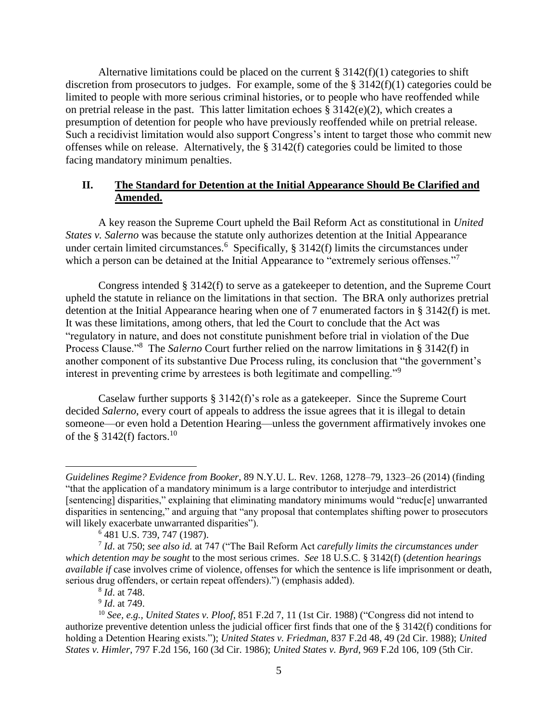Alternative limitations could be placed on the current  $\S 3142(f)(1)$  categories to shift discretion from prosecutors to judges. For example, some of the  $\S 3142(f)(1)$  categories could be limited to people with more serious criminal histories, or to people who have reoffended while on pretrial release in the past. This latter limitation echoes  $\S 3142(e)(2)$ , which creates a presumption of detention for people who have previously reoffended while on pretrial release. Such a recidivist limitation would also support Congress's intent to target those who commit new offenses while on release. Alternatively, the § 3142(f) categories could be limited to those facing mandatory minimum penalties.

## <span id="page-4-0"></span>**II. The Standard for Detention at the Initial Appearance Should Be Clarified and Amended.**

A key reason the Supreme Court upheld the Bail Reform Act as constitutional in *United States v. Salerno* was because the statute only authorizes detention at the Initial Appearance under certain limited circumstances.<sup>6</sup> Specifically,  $\S 3142(f)$  limits the circumstances under which a person can be detained at the Initial Appearance to "extremely serious offenses."<sup>7</sup>

Congress intended § 3142(f) to serve as a gatekeeper to detention, and the Supreme Court upheld the statute in reliance on the limitations in that section. The BRA only authorizes pretrial detention at the Initial Appearance hearing when one of 7 enumerated factors in § 3142(f) is met. It was these limitations, among others, that led the Court to conclude that the Act was "regulatory in nature, and does not constitute punishment before trial in violation of the Due Process Clause."<sup>8</sup> The *Salerno* Court further relied on the narrow limitations in § 3142(f) in another component of its substantive Due Process ruling, its conclusion that "the government's interest in preventing crime by arrestees is both legitimate and compelling."<sup>9</sup>

Caselaw further supports § 3142(f)'s role as a gatekeeper. Since the Supreme Court decided *Salerno*, every court of appeals to address the issue agrees that it is illegal to detain someone—or even hold a Detention Hearing—unless the government affirmatively invokes one of the § 3142(f) factors.<sup>10</sup>

9 *Id*. at 749.

*Guidelines Regime? Evidence from Booker*, 89 N.Y.U. L. Rev. 1268, 1278–79, 1323–26 (2014) (finding "that the application of a mandatory minimum is a large contributor to interjudge and interdistrict [sentencing] disparities," explaining that eliminating mandatory minimums would "reduc[e] unwarranted disparities in sentencing," and arguing that "any proposal that contemplates shifting power to prosecutors will likely exacerbate unwarranted disparities").

<sup>6</sup> 481 U.S. 739, 747 (1987).

<sup>7</sup> *Id*. at 750; *see also id.* at 747 ("The Bail Reform Act *carefully limits the circumstances under which detention may be sought* to the most serious crimes. *See* 18 U.S.C. § 3142(f) (*detention hearings available if* case involves crime of violence, offenses for which the sentence is life imprisonment or death, serious drug offenders, or certain repeat offenders).") (emphasis added).

<sup>8</sup> *Id*. at 748.

<sup>10</sup> *See, e.g., United States v. Ploof*, 851 F.2d 7, 11 (1st Cir. 1988) ("Congress did not intend to authorize preventive detention unless the judicial officer first finds that one of the § 3142(f) conditions for holding a Detention Hearing exists."); *United States v. Friedman*, 837 F.2d 48, 49 (2d Cir. 1988); *United States v. Himler*, 797 F.2d 156, 160 (3d Cir. 1986); *United States v. Byrd*, 969 F.2d 106, 109 (5th Cir.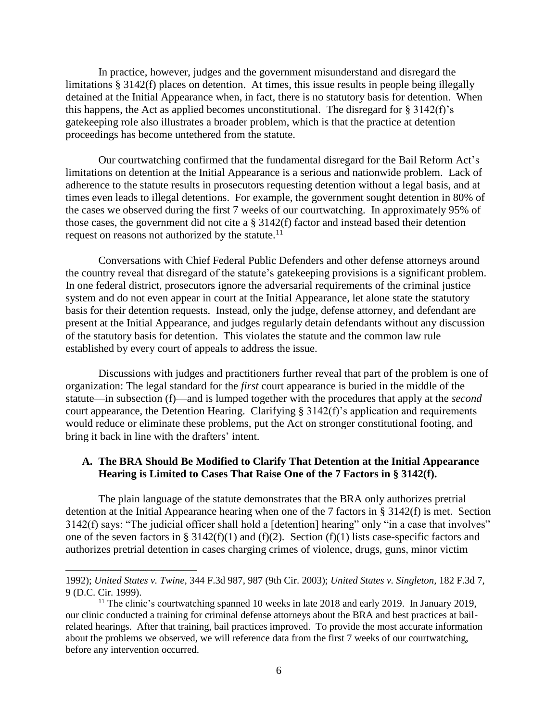In practice, however, judges and the government misunderstand and disregard the limitations § 3142(f) places on detention. At times, this issue results in people being illegally detained at the Initial Appearance when, in fact, there is no statutory basis for detention. When this happens, the Act as applied becomes unconstitutional. The disregard for  $\S 3142(f)$ 's gatekeeping role also illustrates a broader problem, which is that the practice at detention proceedings has become untethered from the statute.

Our courtwatching confirmed that the fundamental disregard for the Bail Reform Act's limitations on detention at the Initial Appearance is a serious and nationwide problem. Lack of adherence to the statute results in prosecutors requesting detention without a legal basis, and at times even leads to illegal detentions. For example, the government sought detention in 80% of the cases we observed during the first 7 weeks of our courtwatching. In approximately 95% of those cases, the government did not cite a § 3142(f) factor and instead based their detention request on reasons not authorized by the statute. $11$ 

Conversations with Chief Federal Public Defenders and other defense attorneys around the country reveal that disregard of the statute's gatekeeping provisions is a significant problem. In one federal district, prosecutors ignore the adversarial requirements of the criminal justice system and do not even appear in court at the Initial Appearance, let alone state the statutory basis for their detention requests. Instead, only the judge, defense attorney, and defendant are present at the Initial Appearance, and judges regularly detain defendants without any discussion of the statutory basis for detention. This violates the statute and the common law rule established by every court of appeals to address the issue.

Discussions with judges and practitioners further reveal that part of the problem is one of organization: The legal standard for the *first* court appearance is buried in the middle of the statute—in subsection (f)—and is lumped together with the procedures that apply at the *second* court appearance, the Detention Hearing. Clarifying  $\S 3142(f)$ 's application and requirements would reduce or eliminate these problems, put the Act on stronger constitutional footing, and bring it back in line with the drafters' intent.

#### <span id="page-5-0"></span>**A. The BRA Should Be Modified to Clarify That Detention at the Initial Appearance Hearing is Limited to Cases That Raise One of the 7 Factors in § 3142(f).**

The plain language of the statute demonstrates that the BRA only authorizes pretrial detention at the Initial Appearance hearing when one of the 7 factors in § 3142(f) is met. Section 3142(f) says: "The judicial officer shall hold a [detention] hearing" only "in a case that involves" one of the seven factors in § 3142(f)(1) and (f)(2). Section (f)(1) lists case-specific factors and authorizes pretrial detention in cases charging crimes of violence, drugs, guns, minor victim

 $\overline{a}$ 

<sup>1992);</sup> *United States v. Twine,* 344 F.3d 987, 987 (9th Cir. 2003); *United States v. Singleton,* 182 F.3d 7, 9 (D.C. Cir. 1999).

<sup>&</sup>lt;sup>11</sup> The clinic's courtwatching spanned 10 weeks in late 2018 and early 2019. In January 2019, our clinic conducted a training for criminal defense attorneys about the BRA and best practices at bailrelated hearings. After that training, bail practices improved. To provide the most accurate information about the problems we observed, we will reference data from the first 7 weeks of our courtwatching, before any intervention occurred.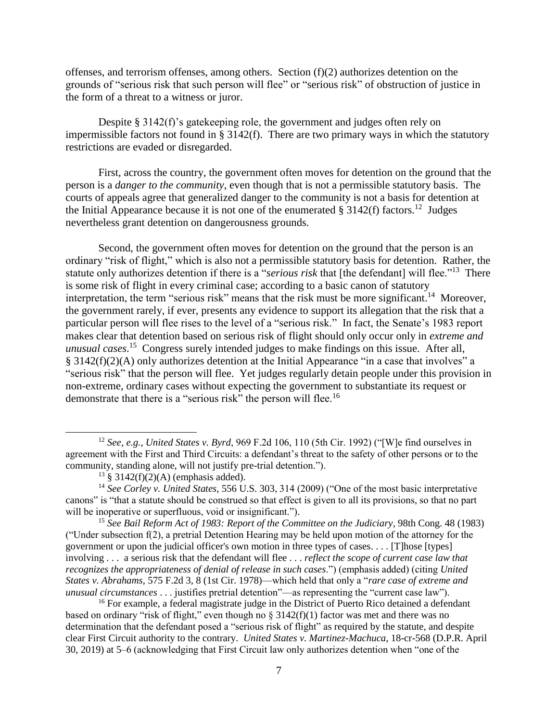offenses, and terrorism offenses, among others. Section  $(f)(2)$  authorizes detention on the grounds of "serious risk that such person will flee" or "serious risk" of obstruction of justice in the form of a threat to a witness or juror.

Despite § 3142(f)'s gatekeeping role, the government and judges often rely on impermissible factors not found in § 3142(f). There are two primary ways in which the statutory restrictions are evaded or disregarded.

First, across the country, the government often moves for detention on the ground that the person is a *danger to the community*, even though that is not a permissible statutory basis. The courts of appeals agree that generalized danger to the community is not a basis for detention at the Initial Appearance because it is not one of the enumerated  $\S 3142(f)$  factors.<sup>12</sup> Judges nevertheless grant detention on dangerousness grounds.

Second, the government often moves for detention on the ground that the person is an ordinary "risk of flight," which is also not a permissible statutory basis for detention. Rather, the statute only authorizes detention if there is a "*serious risk* that [the defendant] will flee."<sup>13</sup> There is some risk of flight in every criminal case; according to a basic canon of statutory interpretation, the term "serious risk" means that the risk must be more significant.<sup>14</sup> Moreover, the government rarely, if ever, presents any evidence to support its allegation that the risk that a particular person will flee rises to the level of a "serious risk." In fact, the Senate's 1983 report makes clear that detention based on serious risk of flight should only occur only in *extreme and unusual cases*. 15 Congress surely intended judges to make findings on this issue. After all, § 3142(f)(2)(A) only authorizes detention at the Initial Appearance "in a case that involves" a "serious risk" that the person will flee. Yet judges regularly detain people under this provision in non-extreme, ordinary cases without expecting the government to substantiate its request or demonstrate that there is a "serious risk" the person will flee.<sup>16</sup>

 $\overline{a}$ 

<sup>16</sup> For example, a federal magistrate judge in the District of Puerto Rico detained a defendant based on ordinary "risk of flight," even though no § 3142(f)(1) factor was met and there was no determination that the defendant posed a "serious risk of flight" as required by the statute, and despite clear First Circuit authority to the contrary. *United States v. Martinez-Machuca*, 18-cr-568 (D.P.R. April 30, 2019) at 5–6 (acknowledging that First Circuit law only authorizes detention when "one of the

<sup>12</sup> *See, e.g.*, *United States v. Byrd*, 969 F.2d 106, 110 (5th Cir. 1992) ("[W]e find ourselves in agreement with the First and Third Circuits: a defendant's threat to the safety of other persons or to the community, standing alone, will not justify pre-trial detention.").

 $13 \text{ }$  \$ 3142(f)(2)(A) (emphasis added).

<sup>14</sup> *See Corley v. United States*, 556 U.S. 303, 314 (2009) ("One of the most basic interpretative canons" is "that a statute should be construed so that effect is given to all its provisions, so that no part will be inoperative or superfluous, void or insignificant.").

<sup>15</sup> *See Bail Reform Act of 1983: Report of the Committee on the Judiciary*, 98th Cong. 48 (1983) ("Under subsection  $f(2)$ , a pretrial Detention Hearing may be held upon motion of the attorney for the government or upon the judicial officer's own motion in three types of cases. . . . [T]hose [types] involving . . . a serious risk that the defendant will flee . . . *reflect the scope of current case law that recognizes the appropriateness of denial of release in such cases*.") (emphasis added) (citing *United States v. Abrahams*, 575 F.2d 3, 8 (1st Cir. 1978)—which held that only a "*rare case of extreme and unusual circumstances* . . . justifies pretrial detention"—as representing the "current case law").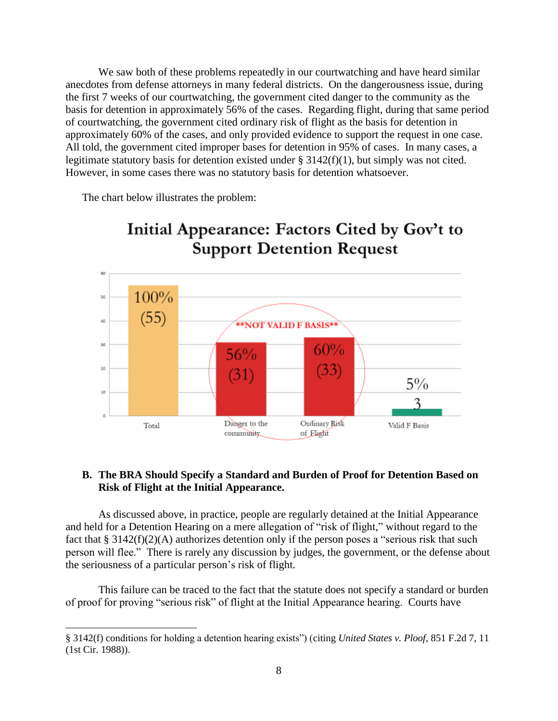We saw both of these problems repeatedly in our courtwatching and have heard similar anecdotes from defense attorneys in many federal districts. On the dangerousness issue, during the first 7 weeks of our courtwatching, the government cited danger to the community as the basis for detention in approximately 56% of the cases. Regarding flight, during that same period of courtwatching, the government cited ordinary risk of flight as the basis for detention in approximately 60% of the cases, and only provided evidence to support the request in one case. All told, the government cited improper bases for detention in 95% of cases. In many cases, a legitimate statutory basis for detention existed under § 3142(f)(1), but simply was not cited. However, in some cases there was no statutory basis for detention whatsoever.

The chart below illustrates the problem:



# Initial Appearance: Factors Cited by Gov't to

# <span id="page-7-0"></span>**B. The BRA Should Specify a Standard and Burden of Proof for Detention Based on Risk of Flight at the Initial Appearance.**

As discussed above, in practice, people are regularly detained at the Initial Appearance and held for a Detention Hearing on a mere allegation of "risk of flight," without regard to the fact that § 3142(f)(2)(A) authorizes detention only if the person poses a "serious risk that such person will flee." There is rarely any discussion by judges, the government, or the defense about the seriousness of a particular person's risk of flight.

This failure can be traced to the fact that the statute does not specify a standard or burden of proof for proving "serious risk" of flight at the Initial Appearance hearing. Courts have

<sup>§</sup> 3142(f) conditions for holding a detention hearing exists") (citing *United States v. Ploof*, 851 F.2d 7, 11 (1st Cir. 1988)).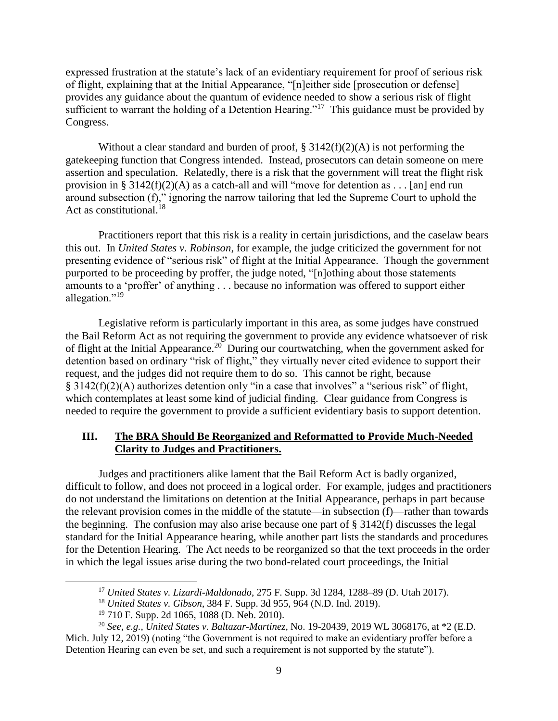expressed frustration at the statute's lack of an evidentiary requirement for proof of serious risk of flight, explaining that at the Initial Appearance, "[n]either side [prosecution or defense] provides any guidance about the quantum of evidence needed to show a serious risk of flight sufficient to warrant the holding of a Detention Hearing."<sup>17</sup> This guidance must be provided by Congress.

Without a clear standard and burden of proof,  $\S 3142(f)(2)(A)$  is not performing the gatekeeping function that Congress intended. Instead, prosecutors can detain someone on mere assertion and speculation. Relatedly, there is a risk that the government will treat the flight risk provision in § 3142(f)(2)(A) as a catch-all and will "move for detention as . . . [an] end run around subsection (f)," ignoring the narrow tailoring that led the Supreme Court to uphold the Act as constitutional.<sup>18</sup>

Practitioners report that this risk is a reality in certain jurisdictions, and the caselaw bears this out. In *United States v. Robinson*, for example, the judge criticized the government for not presenting evidence of "serious risk" of flight at the Initial Appearance. Though the government purported to be proceeding by proffer, the judge noted, "[n]othing about those statements amounts to a 'proffer' of anything . . . because no information was offered to support either allegation."<sup>19</sup>

Legislative reform is particularly important in this area, as some judges have construed the Bail Reform Act as not requiring the government to provide any evidence whatsoever of risk of flight at the Initial Appearance.<sup>20</sup> During our courtwatching, when the government asked for detention based on ordinary "risk of flight," they virtually never cited evidence to support their request, and the judges did not require them to do so. This cannot be right, because § 3142(f)(2)(A) authorizes detention only "in a case that involves" a "serious risk" of flight, which contemplates at least some kind of judicial finding. Clear guidance from Congress is needed to require the government to provide a sufficient evidentiary basis to support detention.

## <span id="page-8-0"></span>**III. The BRA Should Be Reorganized and Reformatted to Provide Much-Needed Clarity to Judges and Practitioners.**

Judges and practitioners alike lament that the Bail Reform Act is badly organized, difficult to follow, and does not proceed in a logical order. For example, judges and practitioners do not understand the limitations on detention at the Initial Appearance, perhaps in part because the relevant provision comes in the middle of the statute—in subsection (f)—rather than towards the beginning. The confusion may also arise because one part of § 3142(f) discusses the legal standard for the Initial Appearance hearing, while another part lists the standards and procedures for the Detention Hearing. The Act needs to be reorganized so that the text proceeds in the order in which the legal issues arise during the two bond-related court proceedings, the Initial

<sup>17</sup> *United States v. Lizardi-Maldonado*, 275 F. Supp. 3d 1284, 1288–89 (D. Utah 2017).

<sup>18</sup> *United States v. Gibson*, 384 F. Supp. 3d 955, 964 (N.D. Ind. 2019).

<sup>19</sup> 710 F. Supp. 2d 1065, 1088 (D. Neb. 2010).

<sup>20</sup> *See, e.g.*, *United States v. Baltazar-Martinez*, No. 19-20439, 2019 WL 3068176, at \*2 (E.D. Mich. July 12, 2019) (noting "the Government is not required to make an evidentiary proffer before a Detention Hearing can even be set, and such a requirement is not supported by the statute").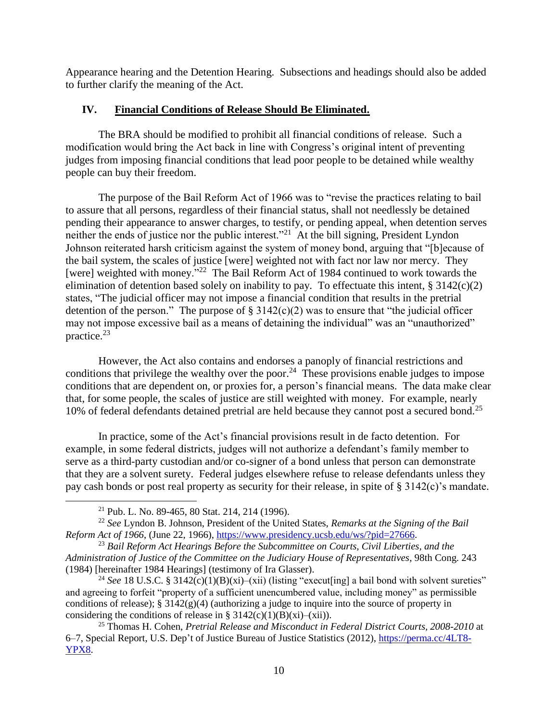Appearance hearing and the Detention Hearing. Subsections and headings should also be added to further clarify the meaning of the Act.

# <span id="page-9-0"></span>**IV. Financial Conditions of Release Should Be Eliminated.**

The BRA should be modified to prohibit all financial conditions of release. Such a modification would bring the Act back in line with Congress's original intent of preventing judges from imposing financial conditions that lead poor people to be detained while wealthy people can buy their freedom.

The purpose of the Bail Reform Act of 1966 was to "revise the practices relating to bail to assure that all persons, regardless of their financial status, shall not needlessly be detained pending their appearance to answer charges, to testify, or pending appeal, when detention serves neither the ends of justice nor the public interest."<sup>21</sup> At the bill signing, President Lyndon Johnson reiterated harsh criticism against the system of money bond, arguing that "[b]ecause of the bail system, the scales of justice [were] weighted not with fact nor law nor mercy. They [were] weighted with money."<sup>22</sup> The Bail Reform Act of 1984 continued to work towards the elimination of detention based solely on inability to pay. To effectuate this intent, § 3142(c)(2) states, "The judicial officer may not impose a financial condition that results in the pretrial detention of the person." The purpose of  $\S 3142(c)(2)$  was to ensure that "the judicial officer may not impose excessive bail as a means of detaining the individual" was an "unauthorized" practice.<sup>23</sup>

However, the Act also contains and endorses a panoply of financial restrictions and conditions that privilege the wealthy over the poor.<sup>24</sup> These provisions enable judges to impose conditions that are dependent on, or proxies for, a person's financial means. The data make clear that, for some people, the scales of justice are still weighted with money. For example, nearly 10% of federal defendants detained pretrial are held because they cannot post a secured bond.<sup>25</sup>

In practice, some of the Act's financial provisions result in de facto detention. For example, in some federal districts, judges will not authorize a defendant's family member to serve as a third-party custodian and/or co-signer of a bond unless that person can demonstrate that they are a solvent surety. Federal judges elsewhere refuse to release defendants unless they pay cash bonds or post real property as security for their release, in spite of § 3142(c)'s mandate.

<sup>21</sup> Pub. L. No. 89-465, 80 Stat. 214, 214 (1996).

<sup>22</sup> *See* Lyndon B. Johnson, President of the United States, *Remarks at the Signing of the Bail Reform Act of 1966*, (June 22, 1966)[, https://www.presidency.ucsb.edu/ws/?pid=27666.](https://www.presidency.ucsb.edu/ws/?pid=27666)

<sup>23</sup> *Bail Reform Act Hearings Before the Subcommittee on Courts, Civil Liberties, and the Administration of Justice of the Committee on the Judiciary House of Representatives*, 98th Cong. 243 (1984) [hereinafter 1984 Hearings] (testimony of Ira Glasser).

<sup>&</sup>lt;sup>24</sup> See 18 U.S.C. § 3142(c)(1)(B)(xi)–(xii) (listing "execut[ing] a bail bond with solvent sureties" and agreeing to forfeit "property of a sufficient unencumbered value, including money" as permissible conditions of release);  $\S 3142(g)(4)$  (authorizing a judge to inquire into the source of property in considering the conditions of release in § 3142(c)(1)(B)(xi)–(xii)).

<sup>25</sup> Thomas H. Cohen, *Pretrial Release and Misconduct in Federal District Courts, 2008-2010* at 6–7, Special Report, U.S. Dep't of Justice Bureau of Justice Statistics (2012), [https://perma.cc/4LT8-](https://perma.cc/4LT8-YPX8) [YPX8.](https://perma.cc/4LT8-YPX8)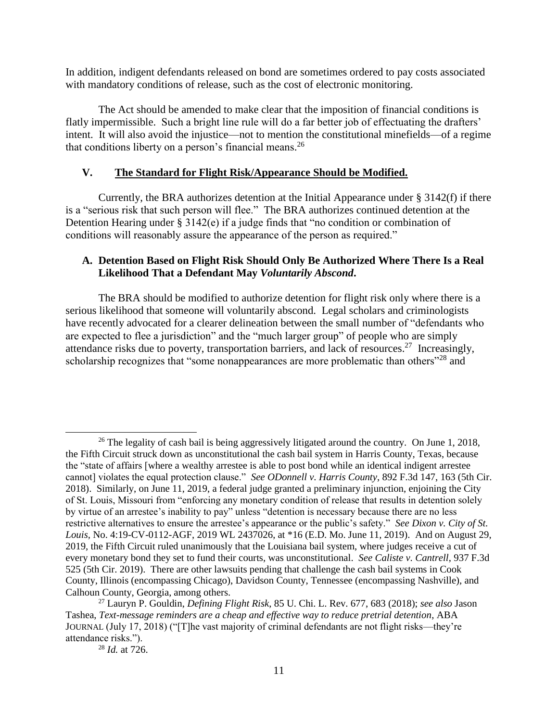In addition, indigent defendants released on bond are sometimes ordered to pay costs associated with mandatory conditions of release, such as the cost of electronic monitoring.

The Act should be amended to make clear that the imposition of financial conditions is flatly impermissible. Such a bright line rule will do a far better job of effectuating the drafters' intent. It will also avoid the injustice—not to mention the constitutional minefields—of a regime that conditions liberty on a person's financial means.<sup>26</sup>

# <span id="page-10-0"></span>**V. The Standard for Flight Risk/Appearance Should be Modified.**

Currently, the BRA authorizes detention at the Initial Appearance under § 3142(f) if there is a "serious risk that such person will flee." The BRA authorizes continued detention at the Detention Hearing under § 3142(e) if a judge finds that "no condition or combination of conditions will reasonably assure the appearance of the person as required."

## <span id="page-10-1"></span>**A. Detention Based on Flight Risk Should Only Be Authorized Where There Is a Real Likelihood That a Defendant May** *Voluntarily Abscond***.**

The BRA should be modified to authorize detention for flight risk only where there is a serious likelihood that someone will voluntarily abscond. Legal scholars and criminologists have recently advocated for a clearer delineation between the small number of "defendants who are expected to flee a jurisdiction" and the "much larger group" of people who are simply attendance risks due to poverty, transportation barriers, and lack of resources.<sup>27</sup> Increasingly, scholarship recognizes that "some nonappearances are more problematic than others"<sup>28</sup> and

 $\overline{a}$ 

<sup>&</sup>lt;sup>26</sup> The legality of cash bail is being aggressively litigated around the country. On June 1, 2018, the Fifth Circuit struck down as unconstitutional the cash bail system in Harris County, Texas, because the "state of affairs [where a wealthy arrestee is able to post bond while an identical indigent arrestee cannot] violates the equal protection clause." *See ODonnell v. Harris County*, 892 F.3d 147, 163 (5th Cir. 2018). Similarly, on June 11, 2019, a federal judge granted a preliminary injunction, enjoining the City of St. Louis, Missouri from "enforcing any monetary condition of release that results in detention solely by virtue of an arrestee's inability to pay" unless "detention is necessary because there are no less restrictive alternatives to ensure the arrestee's appearance or the public's safety." *See Dixon v. City of St. Louis,* No. 4:19-CV-0112-AGF, 2019 WL 2437026, at \*16 (E.D. Mo. June 11, 2019). And on August 29, 2019, the Fifth Circuit ruled unanimously that the Louisiana bail system, where judges receive a cut of every monetary bond they set to fund their courts, was unconstitutional. *See Caliste v. Cantrell*, 937 F.3d 525 (5th Cir. 2019). There are other lawsuits pending that challenge the cash bail systems in Cook County, Illinois (encompassing Chicago), Davidson County, Tennessee (encompassing Nashville), and Calhoun County, Georgia, among others.

<sup>27</sup> Lauryn P. Gouldin, *Defining Flight Risk*, 85 U. Chi. L. Rev. 677, 683 (2018); *see also* Jason Tashea, *Text-message reminders are a cheap and effective way to reduce pretrial detention*, ABA JOURNAL (July 17, 2018) ("[T]he vast majority of criminal defendants are not flight risks—they're attendance risks.").

<sup>28</sup> *Id.* at 726.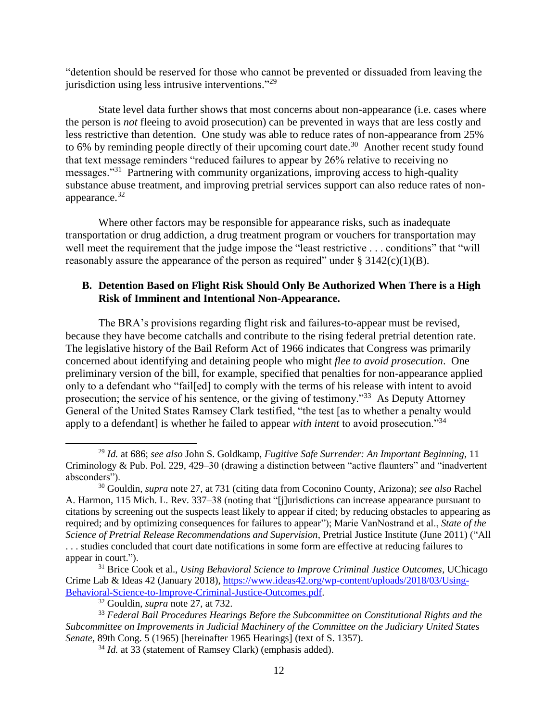"detention should be reserved for those who cannot be prevented or dissuaded from leaving the jurisdiction using less intrusive interventions."<sup>29</sup>

State level data further shows that most concerns about non-appearance (i.e. cases where the person is *not* fleeing to avoid prosecution) can be prevented in ways that are less costly and less restrictive than detention. One study was able to reduce rates of non-appearance from 25% to 6% by reminding people directly of their upcoming court date.<sup>30</sup> Another recent study found that text message reminders "reduced failures to appear by 26% relative to receiving no messages."<sup>31</sup> Partnering with community organizations, improving access to high-quality substance abuse treatment, and improving pretrial services support can also reduce rates of nonappearance.<sup>32</sup>

Where other factors may be responsible for appearance risks, such as inadequate transportation or drug addiction, a drug treatment program or vouchers for transportation may well meet the requirement that the judge impose the "least restrictive . . . conditions" that "will reasonably assure the appearance of the person as required" under  $\S 3142(c)(1)(B)$ .

#### <span id="page-11-0"></span>**B. Detention Based on Flight Risk Should Only Be Authorized When There is a High Risk of Imminent and Intentional Non-Appearance.**

The BRA's provisions regarding flight risk and failures-to-appear must be revised, because they have become catchalls and contribute to the rising federal pretrial detention rate. The legislative history of the Bail Reform Act of 1966 indicates that Congress was primarily concerned about identifying and detaining people who might *flee to avoid prosecution*. One preliminary version of the bill, for example, specified that penalties for non-appearance applied only to a defendant who "fail[ed] to comply with the terms of his release with intent to avoid prosecution; the service of his sentence, or the giving of testimony."<sup>33</sup> As Deputy Attorney General of the United States Ramsey Clark testified, "the test [as to whether a penalty would apply to a defendant] is whether he failed to appear *with intent* to avoid prosecution."<sup>34</sup>

<sup>29</sup> *Id.* at 686; *see also* John S. Goldkamp, *Fugitive Safe Surrender: An Important Beginning*, 11 Criminology & Pub. Pol. 229, 429–30 (drawing a distinction between "active flaunters" and "inadvertent absconders").

<sup>30</sup> Gouldin, *supra* note 27, at 731 (citing data from Coconino County, Arizona); *see also* Rachel A. Harmon, 115 Mich. L. Rev. 337–38 (noting that "[j]urisdictions can increase appearance pursuant to citations by screening out the suspects least likely to appear if cited; by reducing obstacles to appearing as required; and by optimizing consequences for failures to appear"); Marie VanNostrand et al., *State of the Science of Pretrial Release Recommendations and Supervision*, Pretrial Justice Institute (June 2011) ("All . . . studies concluded that court date notifications in some form are effective at reducing failures to appear in court.").

<sup>31</sup> Brice Cook et al., *Using Behavioral Science to Improve Criminal Justice Outcomes*, UChicago Crime Lab & Ideas 42 (January 2018), [https://www.ideas42.org/wp-content/uploads/2018/03/Using-](https://www.ideas42.org/wp-content/uploads/2018/03/Using-Behavioral-Science-to-Improve-Criminal-Justice-Outcomes.pdf)[Behavioral-Science-to-Improve-Criminal-Justice-Outcomes.pdf.](https://www.ideas42.org/wp-content/uploads/2018/03/Using-Behavioral-Science-to-Improve-Criminal-Justice-Outcomes.pdf)

<sup>32</sup> Gouldin, *supra* note 27, at 732.

<sup>33</sup> *Federal Bail Procedures Hearings Before the Subcommittee on Constitutional Rights and the Subcommittee on Improvements in Judicial Machinery of the Committee on the Judiciary United States Senate*, 89th Cong. 5 (1965) [hereinafter 1965 Hearings] (text of S. 1357).

<sup>34</sup> *Id.* at 33 (statement of Ramsey Clark) (emphasis added).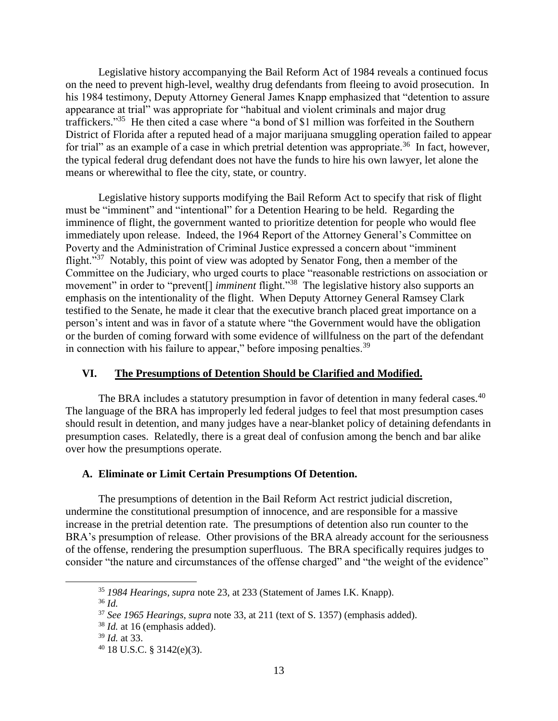Legislative history accompanying the Bail Reform Act of 1984 reveals a continued focus on the need to prevent high-level, wealthy drug defendants from fleeing to avoid prosecution. In his 1984 testimony, Deputy Attorney General James Knapp emphasized that "detention to assure appearance at trial" was appropriate for "habitual and violent criminals and major drug traffickers." <sup>35</sup> He then cited a case where "a bond of \$1 million was forfeited in the Southern District of Florida after a reputed head of a major marijuana smuggling operation failed to appear for trial" as an example of a case in which pretrial detention was appropriate.<sup>36</sup> In fact, however, the typical federal drug defendant does not have the funds to hire his own lawyer, let alone the means or wherewithal to flee the city, state, or country.

Legislative history supports modifying the Bail Reform Act to specify that risk of flight must be "imminent" and "intentional" for a Detention Hearing to be held. Regarding the imminence of flight, the government wanted to prioritize detention for people who would flee immediately upon release. Indeed, the 1964 Report of the Attorney General's Committee on Poverty and the Administration of Criminal Justice expressed a concern about "imminent flight."<sup>37</sup> Notably, this point of view was adopted by Senator Fong, then a member of the Committee on the Judiciary, who urged courts to place "reasonable restrictions on association or movement" in order to "prevent<sup>[]</sup> *imminent* flight.<sup>"38</sup> The legislative history also supports an emphasis on the intentionality of the flight. When Deputy Attorney General Ramsey Clark testified to the Senate, he made it clear that the executive branch placed great importance on a person's intent and was in favor of a statute where "the Government would have the obligation or the burden of coming forward with some evidence of willfulness on the part of the defendant in connection with his failure to appear," before imposing penalties.  $39$ 

# <span id="page-12-0"></span>**VI. The Presumptions of Detention Should be Clarified and Modified.**

The BRA includes a statutory presumption in favor of detention in many federal cases.<sup>40</sup> The language of the BRA has improperly led federal judges to feel that most presumption cases should result in detention, and many judges have a near-blanket policy of detaining defendants in presumption cases. Relatedly, there is a great deal of confusion among the bench and bar alike over how the presumptions operate.

#### <span id="page-12-1"></span>**A. Eliminate or Limit Certain Presumptions Of Detention.**

The presumptions of detention in the Bail Reform Act restrict judicial discretion, undermine the constitutional presumption of innocence, and are responsible for a massive increase in the pretrial detention rate. The presumptions of detention also run counter to the BRA's presumption of release. Other provisions of the BRA already account for the seriousness of the offense, rendering the presumption superfluous. The BRA specifically requires judges to consider "the nature and circumstances of the offense charged" and "the weight of the evidence"

<sup>36</sup> *Id.*

<sup>35</sup> *1984 Hearings*, *supra* note 23, at 233 (Statement of James I.K. Knapp).

<sup>37</sup> *See 1965 Hearings, supra* note 33, at 211 (text of S. 1357) (emphasis added).

<sup>38</sup> *Id.* at 16 (emphasis added).

<sup>39</sup> *Id.* at 33.

 $40$  18 U.S.C. § 3142(e)(3).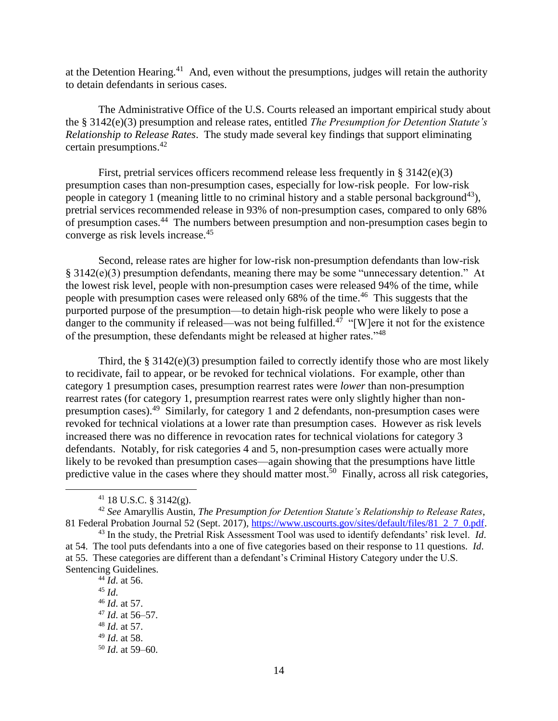at the Detention Hearing.<sup>41</sup> And, even without the presumptions, judges will retain the authority to detain defendants in serious cases.

The Administrative Office of the U.S. Courts released an important empirical study about the § 3142(e)(3) presumption and release rates, entitled *The Presumption for Detention Statute's Relationship to Release Rates*. The study made several key findings that support eliminating certain presumptions.<sup>42</sup>

First, pretrial services officers recommend release less frequently in § 3142(e)(3) presumption cases than non-presumption cases, especially for low-risk people. For low-risk people in category 1 (meaning little to no criminal history and a stable personal background<sup>43</sup>), pretrial services recommended release in 93% of non-presumption cases, compared to only 68% of presumption cases.<sup>44</sup> The numbers between presumption and non-presumption cases begin to converge as risk levels increase.<sup>45</sup>

Second, release rates are higher for low-risk non-presumption defendants than low-risk § 3142(e)(3) presumption defendants, meaning there may be some "unnecessary detention." At the lowest risk level, people with non-presumption cases were released 94% of the time, while people with presumption cases were released only 68% of the time.<sup>46</sup> This suggests that the purported purpose of the presumption—to detain high-risk people who were likely to pose a danger to the community if released—was not being fulfilled.<sup>47</sup> "[W]ere it not for the existence of the presumption, these defendants might be released at higher rates."<sup>48</sup>

Third, the § 3142(e)(3) presumption failed to correctly identify those who are most likely to recidivate, fail to appear, or be revoked for technical violations. For example, other than category 1 presumption cases, presumption rearrest rates were *lower* than non-presumption rearrest rates (for category 1, presumption rearrest rates were only slightly higher than nonpresumption cases).<sup>49</sup> Similarly, for category 1 and 2 defendants, non-presumption cases were revoked for technical violations at a lower rate than presumption cases. However as risk levels increased there was no difference in revocation rates for technical violations for category 3 defendants. Notably, for risk categories 4 and 5, non-presumption cases were actually more likely to be revoked than presumption cases—again showing that the presumptions have little predictive value in the cases where they should matter most.<sup>50</sup> Finally, across all risk categories,

 $\overline{a}$ 

<sup>42</sup> *See* Amaryllis Austin, *The Presumption for Detention Statute's Relationship to Release Rates*, 81 Federal Probation Journal 52 (Sept. 2017), [https://www.uscourts.gov/sites/default/files/81\\_2\\_7\\_0.pdf.](https://www.uscourts.gov/sites/default/files/81_2_7_0.pdf)

<sup>43</sup> In the study, the Pretrial Risk Assessment Tool was used to identify defendants' risk level. *Id*. at 54. The tool puts defendants into a one of five categories based on their response to 11 questions. *Id*. at 55. These categories are different than a defendant's Criminal History Category under the U.S. Sentencing Guidelines.

 *Id*. at 56. <sup>45</sup> *Id*. *Id*. at 57. *Id*. at 56–57. *Id*. at 57. *Id*. at 58. *Id*. at 59–60.

 $41$  18 U.S.C. § 3142(g).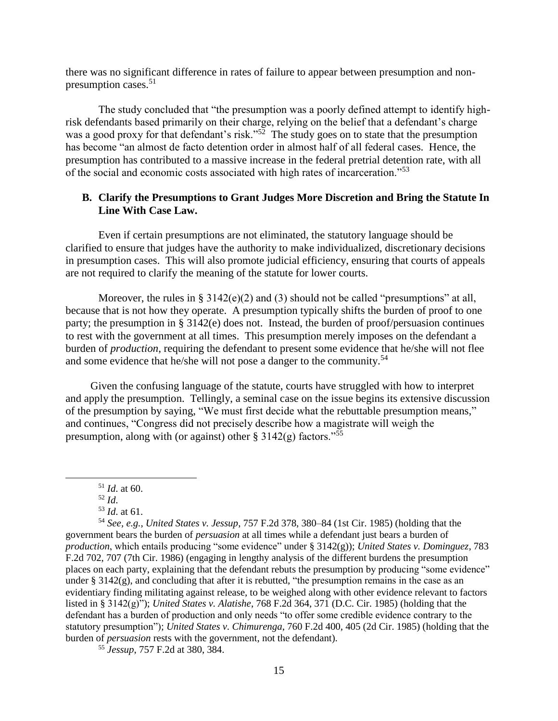there was no significant difference in rates of failure to appear between presumption and nonpresumption cases.<sup>51</sup>

The study concluded that "the presumption was a poorly defined attempt to identify highrisk defendants based primarily on their charge, relying on the belief that a defendant's charge was a good proxy for that defendant's risk."<sup>52</sup> The study goes on to state that the presumption has become "an almost de facto detention order in almost half of all federal cases. Hence, the presumption has contributed to a massive increase in the federal pretrial detention rate, with all of the social and economic costs associated with high rates of incarceration."<sup>53</sup>

#### <span id="page-14-0"></span>**B. Clarify the Presumptions to Grant Judges More Discretion and Bring the Statute In Line With Case Law.**

Even if certain presumptions are not eliminated, the statutory language should be clarified to ensure that judges have the authority to make individualized, discretionary decisions in presumption cases. This will also promote judicial efficiency, ensuring that courts of appeals are not required to clarify the meaning of the statute for lower courts.

Moreover, the rules in §  $3142(e)(2)$  and (3) should not be called "presumptions" at all, because that is not how they operate. A presumption typically shifts the burden of proof to one party; the presumption in § 3142(e) does not. Instead, the burden of proof/persuasion continues to rest with the government at all times. This presumption merely imposes on the defendant a burden of *production*, requiring the defendant to present some evidence that he/she will not flee and some evidence that he/she will not pose a danger to the community.<sup>54</sup>

Given the confusing language of the statute, courts have struggled with how to interpret and apply the presumption. Tellingly, a seminal case on the issue begins its extensive discussion of the presumption by saying, "We must first decide what the rebuttable presumption means," and continues, "Congress did not precisely describe how a magistrate will weigh the presumption, along with (or against) other § 3142(g) factors.<sup>"55</sup>

 $\overline{a}$ 

<sup>54</sup> *See, e.g.*, *United States v. Jessup*, 757 F.2d 378, 380–84 (1st Cir. 1985) (holding that the government bears the burden of *persuasion* at all times while a defendant just bears a burden of *production*, which entails producing "some evidence" under § 3142(g)); *United States v. Dominguez*, 783 F.2d 702, 707 (7th Cir. 1986) (engaging in lengthy analysis of the different burdens the presumption places on each party, explaining that the defendant rebuts the presumption by producing "some evidence" under  $\S$  3142(g), and concluding that after it is rebutted, "the presumption remains in the case as an evidentiary finding militating against release, to be weighed along with other evidence relevant to factors listed in § 3142(g)"); *United States v. Alatishe*, 768 F.2d 364, 371 (D.C. Cir. 1985) (holding that the defendant has a burden of production and only needs "to offer some credible evidence contrary to the statutory presumption"); *United States v. Chimurenga*, 760 F.2d 400, 405 (2d Cir. 1985) (holding that the burden of *persuasion* rests with the government, not the defendant).

<sup>55</sup> *Jessup*, 757 F.2d at 380, 384.

<sup>51</sup> *Id*. at 60.

<sup>52</sup> *Id*.

<sup>53</sup> *Id*. at 61.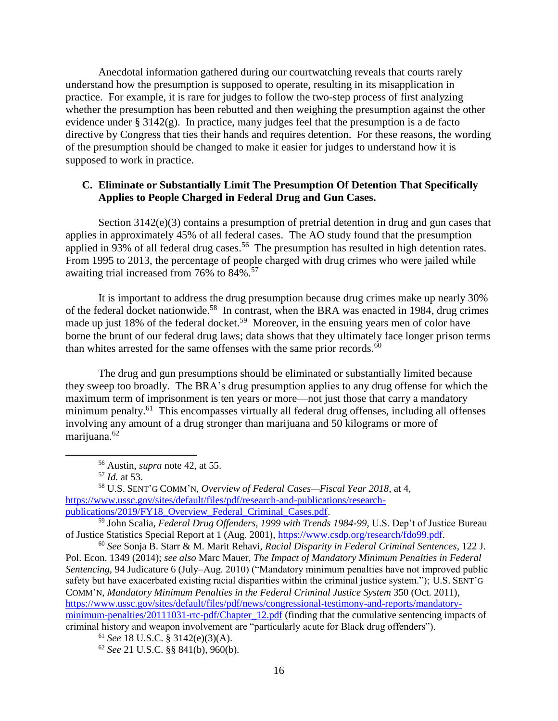Anecdotal information gathered during our courtwatching reveals that courts rarely understand how the presumption is supposed to operate, resulting in its misapplication in practice. For example, it is rare for judges to follow the two-step process of first analyzing whether the presumption has been rebutted and then weighing the presumption against the other evidence under § 3142(g). In practice, many judges feel that the presumption is a de facto directive by Congress that ties their hands and requires detention. For these reasons, the wording of the presumption should be changed to make it easier for judges to understand how it is supposed to work in practice.

## <span id="page-15-0"></span>**C. Eliminate or Substantially Limit The Presumption Of Detention That Specifically Applies to People Charged in Federal Drug and Gun Cases.**

Section 3142(e)(3) contains a presumption of pretrial detention in drug and gun cases that applies in approximately 45% of all federal cases. The AO study found that the presumption applied in 93% of all federal drug cases.<sup>56</sup> The presumption has resulted in high detention rates. From 1995 to 2013, the percentage of people charged with drug crimes who were jailed while awaiting trial increased from 76% to 84%.<sup>57</sup>

It is important to address the drug presumption because drug crimes make up nearly 30% of the federal docket nationwide.<sup>58</sup> In contrast, when the BRA was enacted in 1984, drug crimes made up just 18% of the federal docket.<sup>59</sup> Moreover, in the ensuing years men of color have borne the brunt of our federal drug laws; data shows that they ultimately face longer prison terms than whites arrested for the same offenses with the same prior records. $60$ 

The drug and gun presumptions should be eliminated or substantially limited because they sweep too broadly. The BRA's drug presumption applies to any drug offense for which the maximum term of imprisonment is ten years or more—not just those that carry a mandatory minimum penalty.<sup>61</sup> This encompasses virtually all federal drug offenses, including all offenses involving any amount of a drug stronger than marijuana and 50 kilograms or more of marijuana.<sup>62</sup>

<sup>56</sup> Austin, *supra* note 42, at 55.

<sup>57</sup> *Id.* at 53.

<sup>58</sup> U.S. SENT'G COMM'N, *Overview of Federal Cases—Fiscal Year 2018*, at 4, [https://www.ussc.gov/sites/default/files/pdf/research-and-publications/research](https://www.ussc.gov/sites/default/files/pdf/research-and-publications/research-publications/2019/FY18_Overview_Federal_Criminal_Cases.pdf)[publications/2019/FY18\\_Overview\\_Federal\\_Criminal\\_Cases.pdf.](https://www.ussc.gov/sites/default/files/pdf/research-and-publications/research-publications/2019/FY18_Overview_Federal_Criminal_Cases.pdf)

<sup>59</sup> John Scalia, *Federal Drug Offenders, 1999 with Trends 1984-99*, U.S. Dep't of Justice Bureau of Justice Statistics Special Report at 1 (Aug. 2001), [https://www.csdp.org/research/fdo99.pdf.](https://www.csdp.org/research/fdo99.pdf)

<sup>60</sup> *See* Sonja B. Starr & M. Marit Rehavi, *Racial Disparity in Federal Criminal Sentences*, 122 J. Pol. Econ. 1349 (2014); *see also* Marc Mauer, *The Impact of Mandatory Minimum Penalties in Federal Sentencing*, 94 Judicature 6 (July–Aug. 2010) ("Mandatory minimum penalties have not improved public safety but have exacerbated existing racial disparities within the criminal justice system."); U.S. SENT'G COMM'N, *Mandatory Minimum Penalties in the Federal Criminal Justice System* 350 (Oct. 2011), [https://www.ussc.gov/sites/default/files/pdf/news/congressional-testimony-and-reports/mandatory](https://www.ussc.gov/sites/default/files/pdf/news/congressional-testimony-and-reports/mandatory-minimum-penalties/20111031-rtc-pdf/Chapter_12.pdf)[minimum-penalties/20111031-rtc-pdf/Chapter\\_12.pdf](https://www.ussc.gov/sites/default/files/pdf/news/congressional-testimony-and-reports/mandatory-minimum-penalties/20111031-rtc-pdf/Chapter_12.pdf) (finding that the cumulative sentencing impacts of criminal history and weapon involvement are "particularly acute for Black drug offenders").

<sup>61</sup> *See* 18 U.S.C. § 3142(e)(3)(A).

<sup>62</sup> *See* 21 U.S.C. §§ 841(b), 960(b).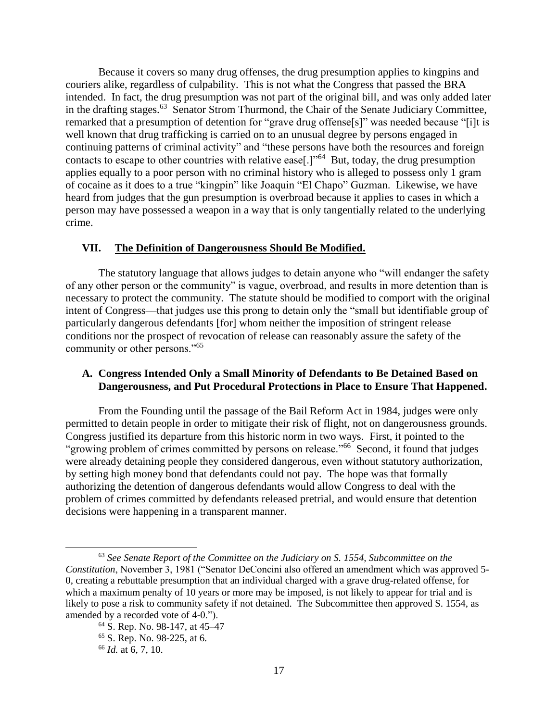Because it covers so many drug offenses, the drug presumption applies to kingpins and couriers alike, regardless of culpability. This is not what the Congress that passed the BRA intended. In fact, the drug presumption was not part of the original bill, and was only added later in the drafting stages.<sup>63</sup> Senator Strom Thurmond, the Chair of the Senate Judiciary Committee, remarked that a presumption of detention for "grave drug offense[s]" was needed because "[i]t is well known that drug trafficking is carried on to an unusual degree by persons engaged in continuing patterns of criminal activity" and "these persons have both the resources and foreign contacts to escape to other countries with relative ease[.]"<sup>64</sup> But, today, the drug presumption applies equally to a poor person with no criminal history who is alleged to possess only 1 gram of cocaine as it does to a true "kingpin" like Joaquin "El Chapo" Guzman. Likewise, we have heard from judges that the gun presumption is overbroad because it applies to cases in which a person may have possessed a weapon in a way that is only tangentially related to the underlying crime.

#### <span id="page-16-0"></span>**VII. The Definition of Dangerousness Should Be Modified.**

The statutory language that allows judges to detain anyone who "will endanger the safety of any other person or the community" is vague, overbroad, and results in more detention than is necessary to protect the community. The statute should be modified to comport with the original intent of Congress––that judges use this prong to detain only the "small but identifiable group of particularly dangerous defendants [for] whom neither the imposition of stringent release conditions nor the prospect of revocation of release can reasonably assure the safety of the community or other persons."<sup>65</sup>

#### <span id="page-16-1"></span>**A. Congress Intended Only a Small Minority of Defendants to Be Detained Based on Dangerousness, and Put Procedural Protections in Place to Ensure That Happened.**

From the Founding until the passage of the Bail Reform Act in 1984, judges were only permitted to detain people in order to mitigate their risk of flight, not on dangerousness grounds. Congress justified its departure from this historic norm in two ways. First, it pointed to the "growing problem of crimes committed by persons on release."<sup>66</sup> Second, it found that judges were already detaining people they considered dangerous, even without statutory authorization, by setting high money bond that defendants could not pay. The hope was that formally authorizing the detention of dangerous defendants would allow Congress to deal with the problem of crimes committed by defendants released pretrial, and would ensure that detention decisions were happening in a transparent manner.

<sup>63</sup> *See Senate Report of the Committee on the Judiciary on S. 1554, Subcommittee on the Constitution*, November 3, 1981 ("Senator DeConcini also offered an amendment which was approved 5- 0, creating a rebuttable presumption that an individual charged with a grave drug-related offense, for which a maximum penalty of 10 years or more may be imposed, is not likely to appear for trial and is likely to pose a risk to community safety if not detained. The Subcommittee then approved S. 1554, as amended by a recorded vote of 4-0.").

<sup>64</sup> S. Rep. No. 98-147, at 45–47 <sup>65</sup> S. Rep. No. 98-225, at 6.

<sup>66</sup> *Id.* at 6, 7, 10.